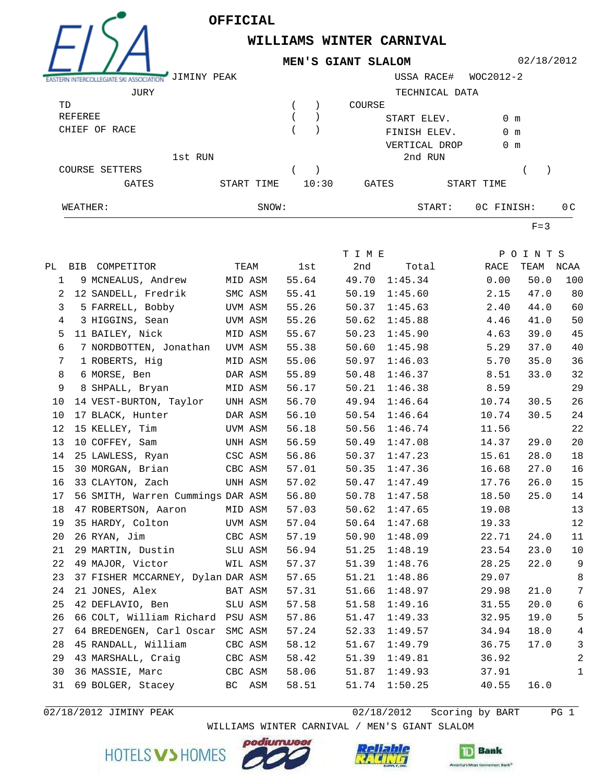

EXSTERN INTERCOLLEGIATE SKI ASSOCIAT

## **WILLIAMS WINTER CARNIVAL MEN'S GIANT SLALOM**

02/18/2012

| ASSOCIATION    | JIMINY PEAK |       |       |              | USSA RACE#     | WOC2012-2     |                |
|----------------|-------------|-------|-------|--------------|----------------|---------------|----------------|
| JURY           |             |       |       |              | TECHNICAL DATA |               |                |
| TD             |             |       |       | COURSE       |                |               |                |
| REFEREE        |             |       |       | START ELEV.  |                | $0 \text{ m}$ |                |
| CHIEF OF RACE  |             |       |       | FINISH ELEV. |                | $0 \text{ m}$ |                |
|                |             |       |       |              | VERTICAL DROP  | $0 \text{ m}$ |                |
|                | 1st RUN     |       |       |              | 2nd RUN        |               |                |
| COURSE SETTERS |             |       |       |              |                |               |                |
| GATES          | START TIME  |       | 10:30 | GATES        |                | START TIME    |                |
| WEATHER:       |             | SNOW: |       |              | START:         | OC FINISH:    | 0 <sub>C</sub> |

 $F=3$ 

|    |                                   |         |         |       | T I M E |         |       | POINTS    |                |
|----|-----------------------------------|---------|---------|-------|---------|---------|-------|-----------|----------------|
|    | PL BIB COMPETITOR                 |         | TEAM    | lst   | 2nd     | Total   | RACE  | TEAM NCAA |                |
| 1  | 9 MCNEALUS, Andrew                |         | MID ASM | 55.64 | 49.70   | 1:45.34 | 0.00  | 50.0      | 100            |
| 2  | 12 SANDELL, Fredrik               |         | SMC ASM | 55.41 | 50.19   | 1:45.60 | 2.15  | 47.0      | 80             |
| 3  | 5 FARRELL, Bobby                  |         | UVM ASM | 55.26 | 50.37   | 1:45.63 | 2.40  | 44.0      | 60             |
| 4  | 3 HIGGINS, Sean                   |         | UVM ASM | 55.26 | 50.62   | 1:45.88 | 4.46  | 41.0      | 50             |
| 5  | 11 BAILEY, Nick                   | MID ASM |         | 55.67 | 50.23   | 1:45.90 | 4.63  | 39.0      | 45             |
| 6  | 7 NORDBOTTEN, Jonathan            |         | UVM ASM | 55.38 | 50.60   | 1:45.98 | 5.29  | 37.0      | 40             |
| 7  | 1 ROBERTS, Hig                    |         | MID ASM | 55.06 | 50.97   | 1:46.03 | 5.70  | 35.0      | 36             |
| 8  | 6 MORSE, Ben                      |         | DAR ASM | 55.89 | 50.48   | 1:46.37 | 8.51  | 33.0      | 32             |
| 9  | 8 SHPALL, Bryan                   |         | MID ASM | 56.17 | 50.21   | 1:46.38 | 8.59  |           | 29             |
| 10 | 14 VEST-BURTON, Taylor            |         | UNH ASM | 56.70 | 49.94   | 1:46.64 | 10.74 | 30.5      | 26             |
| 10 | 17 BLACK, Hunter                  |         | DAR ASM | 56.10 | 50.54   | 1:46.64 | 10.74 | 30.5      | 24             |
| 12 | 15 KELLEY, Tim                    |         | UVM ASM | 56.18 | 50.56   | 1:46.74 | 11.56 |           | $2\sqrt{2}$    |
| 13 | 10 COFFEY, Sam                    | UNH ASM |         | 56.59 | 50.49   | 1:47.08 | 14.37 | 29.0      | 20             |
| 14 | 25 LAWLESS, Ryan                  | CSC ASM |         | 56.86 | 50.37   | 1:47.23 | 15.61 | 28.0      | 18             |
| 15 | 30 MORGAN, Brian                  | CBC ASM |         | 57.01 | 50.35   | 1:47.36 | 16.68 | 27.0      | 16             |
| 16 | 33 CLAYTON, Zach                  |         | UNH ASM | 57.02 | 50.47   | 1:47.49 | 17.76 | 26.0      | 15             |
| 17 | 56 SMITH, Warren Cummings DAR ASM |         |         | 56.80 | 50.78   | 1:47.58 | 18.50 | 25.0      | 14             |
| 18 | 47 ROBERTSON, Aaron               |         | MID ASM | 57.03 | 50.62   | 1:47.65 | 19.08 |           | 13             |
| 19 | 35 HARDY, Colton                  |         | UVM ASM | 57.04 | 50.64   | 1:47.68 | 19.33 |           | 12             |
| 20 | 26 RYAN, Jim                      |         | CBC ASM | 57.19 | 50.90   | 1:48.09 | 22.71 | 24.0      | 11             |
| 21 | 29 MARTIN, Dustin                 |         | SLU ASM | 56.94 | 51.25   | 1:48.19 | 23.54 | 23.0      | 10             |
| 22 | 49 MAJOR, Victor                  |         | WIL ASM | 57.37 | 51.39   | 1:48.76 | 28.25 | 22.0      | 9              |
| 23 | 37 FISHER MCCARNEY, Dylan DAR ASM |         |         | 57.65 | 51.21   | 1:48.86 | 29.07 |           | $\,8\,$        |
| 24 | 21 JONES, Alex                    |         | BAT ASM | 57.31 | 51.66   | 1:48.97 | 29.98 | 21.0      | 7              |
| 25 | 42 DEFLAVIO, Ben                  |         | SLU ASM | 57.58 | 51.58   | 1:49.16 | 31.55 | 20.0      | 6              |
| 26 | 66 COLT, William Richard PSU ASM  |         |         | 57.86 | 51.47   | 1:49.33 | 32.95 | 19.0      | 5              |
| 27 | 64 BREDENGEN, Carl Oscar SMC ASM  |         |         | 57.24 | 52.33   | 1:49.57 | 34.94 | 18.0      | $\overline{4}$ |
| 28 | 45 RANDALL, William               |         | CBC ASM | 58.12 | 51.67   | 1:49.79 | 36.75 | 17.0      | $\mathbf{3}$   |
| 29 | 43 MARSHALL, Craig                |         | CBC ASM | 58.42 | 51.39   | 1:49.81 | 36.92 |           | 2              |
| 30 | 36 MASSIE, Marc                   | CBC ASM |         | 58.06 | 51.87   | 1:49.93 | 37.91 |           | $\mathbf{1}$   |
| 31 | 69 BOLGER, Stacey                 | BC ASM  |         | 58.51 | 51.74   | 1:50.25 | 40.55 | 16.0      |                |

02/18/2012 JIMINY PEAK 2012 12/18/2012 Scoring by BART 201

WILLIAMS WINTER CARNIVAL / MEN'S GIANT SLALOM